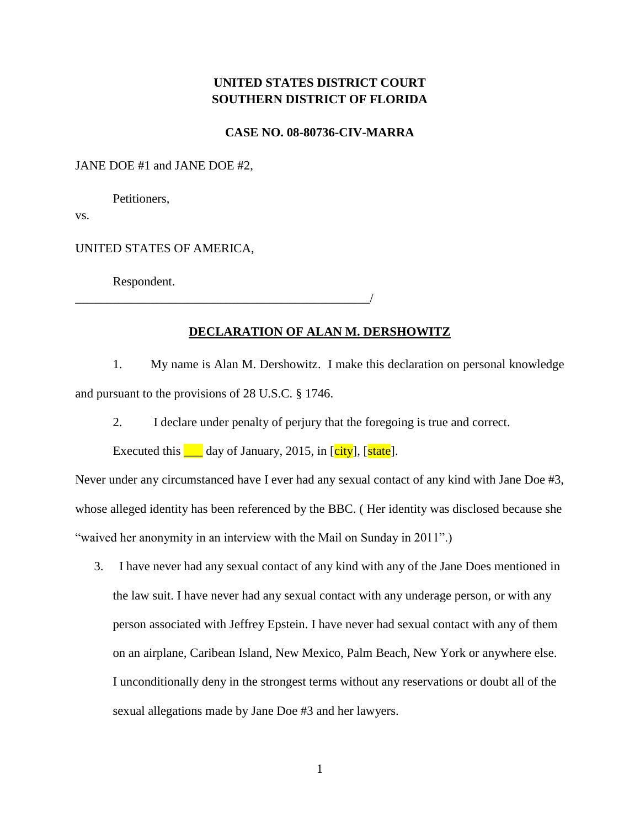## **UNITED STATES DISTRICT COURT SOUTHERN DISTRICT OF FLORIDA**

**CASE NO. 08-80736-CIV-MARRA**

## JANE DOE #1 and JANE DOE #2,

Petitioners,

vs.

UNITED STATES OF AMERICA,

Respondent.

## **DECLARATION OF ALAN M. DERSHOWITZ**

1. My name is Alan M. Dershowitz. I make this declaration on personal knowledge and pursuant to the provisions of 28 U.S.C. § 1746.

2. I declare under penalty of perjury that the foregoing is true and correct.

Executed this  $\Box$  day of January, 2015, in [city], [state].

\_\_\_\_\_\_\_\_\_\_\_\_\_\_\_\_\_\_\_\_\_\_\_\_\_\_\_\_\_\_\_\_\_\_\_\_\_\_\_\_\_\_\_\_\_\_\_/

Never under any circumstanced have I ever had any sexual contact of any kind with Jane Doe #3, whose alleged identity has been referenced by the BBC. ( Her identity was disclosed because she "waived her anonymity in an interview with the Mail on Sunday in 2011".)

3. I have never had any sexual contact of any kind with any of the Jane Does mentioned in the law suit. I have never had any sexual contact with any underage person, or with any person associated with Jeffrey Epstein. I have never had sexual contact with any of them on an airplane, Caribean Island, New Mexico, Palm Beach, New York or anywhere else. I unconditionally deny in the strongest terms without any reservations or doubt all of the sexual allegations made by Jane Doe #3 and her lawyers.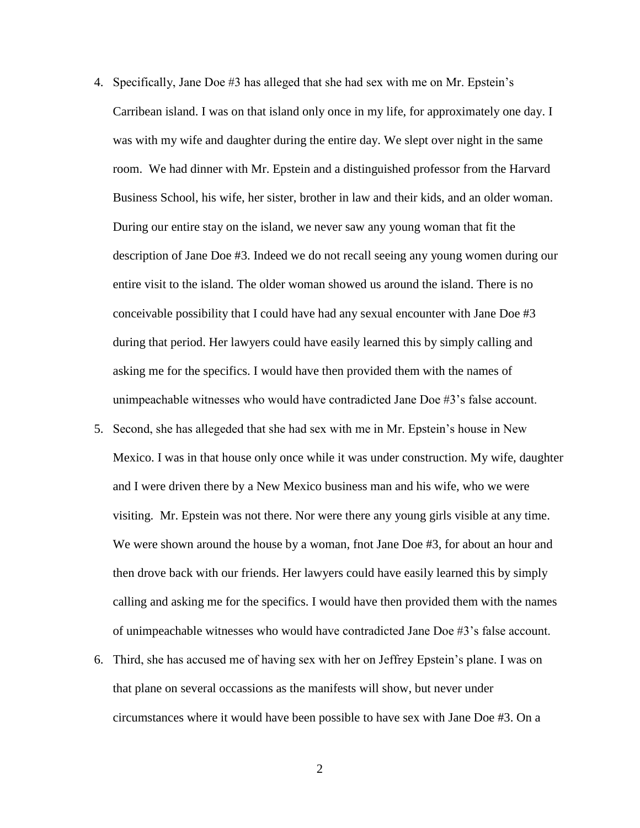- 4. Specifically, Jane Doe #3 has alleged that she had sex with me on Mr. Epstein's Carribean island. I was on that island only once in my life, for approximately one day. I was with my wife and daughter during the entire day. We slept over night in the same room. We had dinner with Mr. Epstein and a distinguished professor from the Harvard Business School, his wife, her sister, brother in law and their kids, and an older woman. During our entire stay on the island, we never saw any young woman that fit the description of Jane Doe #3. Indeed we do not recall seeing any young women during our entire visit to the island. The older woman showed us around the island. There is no conceivable possibility that I could have had any sexual encounter with Jane Doe #3 during that period. Her lawyers could have easily learned this by simply calling and asking me for the specifics. I would have then provided them with the names of unimpeachable witnesses who would have contradicted Jane Doe #3's false account.
- 5. Second, she has allegeded that she had sex with me in Mr. Epstein's house in New Mexico. I was in that house only once while it was under construction. My wife, daughter and I were driven there by a New Mexico business man and his wife, who we were visiting. Mr. Epstein was not there. Nor were there any young girls visible at any time. We were shown around the house by a woman, fnot Jane Doe #3, for about an hour and then drove back with our friends. Her lawyers could have easily learned this by simply calling and asking me for the specifics. I would have then provided them with the names of unimpeachable witnesses who would have contradicted Jane Doe #3's false account.
- 6. Third, she has accused me of having sex with her on Jeffrey Epstein's plane. I was on that plane on several occassions as the manifests will show, but never under circumstances where it would have been possible to have sex with Jane Doe #3. On a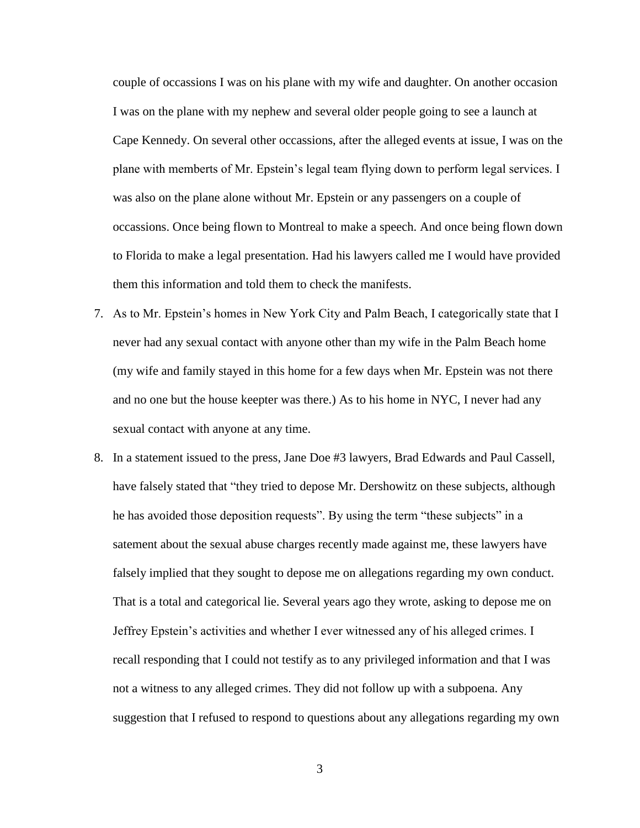couple of occassions I was on his plane with my wife and daughter. On another occasion I was on the plane with my nephew and several older people going to see a launch at Cape Kennedy. On several other occassions, after the alleged events at issue, I was on the plane with memberts of Mr. Epstein's legal team flying down to perform legal services. I was also on the plane alone without Mr. Epstein or any passengers on a couple of occassions. Once being flown to Montreal to make a speech. And once being flown down to Florida to make a legal presentation. Had his lawyers called me I would have provided them this information and told them to check the manifests.

- 7. As to Mr. Epstein's homes in New York City and Palm Beach, I categorically state that I never had any sexual contact with anyone other than my wife in the Palm Beach home (my wife and family stayed in this home for a few days when Mr. Epstein was not there and no one but the house keepter was there.) As to his home in NYC, I never had any sexual contact with anyone at any time.
- 8. In a statement issued to the press, Jane Doe #3 lawyers, Brad Edwards and Paul Cassell, have falsely stated that "they tried to depose Mr. Dershowitz on these subjects, although he has avoided those deposition requests". By using the term "these subjects" in a satement about the sexual abuse charges recently made against me, these lawyers have falsely implied that they sought to depose me on allegations regarding my own conduct. That is a total and categorical lie. Several years ago they wrote, asking to depose me on Jeffrey Epstein's activities and whether I ever witnessed any of his alleged crimes. I recall responding that I could not testify as to any privileged information and that I was not a witness to any alleged crimes. They did not follow up with a subpoena. Any suggestion that I refused to respond to questions about any allegations regarding my own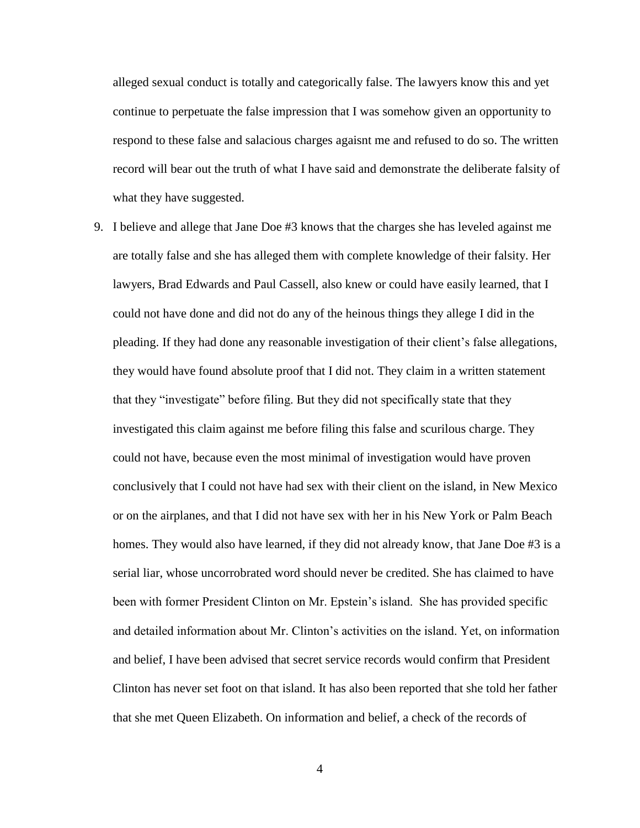alleged sexual conduct is totally and categorically false. The lawyers know this and yet continue to perpetuate the false impression that I was somehow given an opportunity to respond to these false and salacious charges agaisnt me and refused to do so. The written record will bear out the truth of what I have said and demonstrate the deliberate falsity of what they have suggested.

9. I believe and allege that Jane Doe #3 knows that the charges she has leveled against me are totally false and she has alleged them with complete knowledge of their falsity. Her lawyers, Brad Edwards and Paul Cassell, also knew or could have easily learned, that I could not have done and did not do any of the heinous things they allege I did in the pleading. If they had done any reasonable investigation of their client's false allegations, they would have found absolute proof that I did not. They claim in a written statement that they "investigate" before filing. But they did not specifically state that they investigated this claim against me before filing this false and scurilous charge. They could not have, because even the most minimal of investigation would have proven conclusively that I could not have had sex with their client on the island, in New Mexico or on the airplanes, and that I did not have sex with her in his New York or Palm Beach homes. They would also have learned, if they did not already know, that Jane Doe #3 is a serial liar, whose uncorrobrated word should never be credited. She has claimed to have been with former President Clinton on Mr. Epstein's island. She has provided specific and detailed information about Mr. Clinton's activities on the island. Yet, on information and belief, I have been advised that secret service records would confirm that President Clinton has never set foot on that island. It has also been reported that she told her father that she met Queen Elizabeth. On information and belief, a check of the records of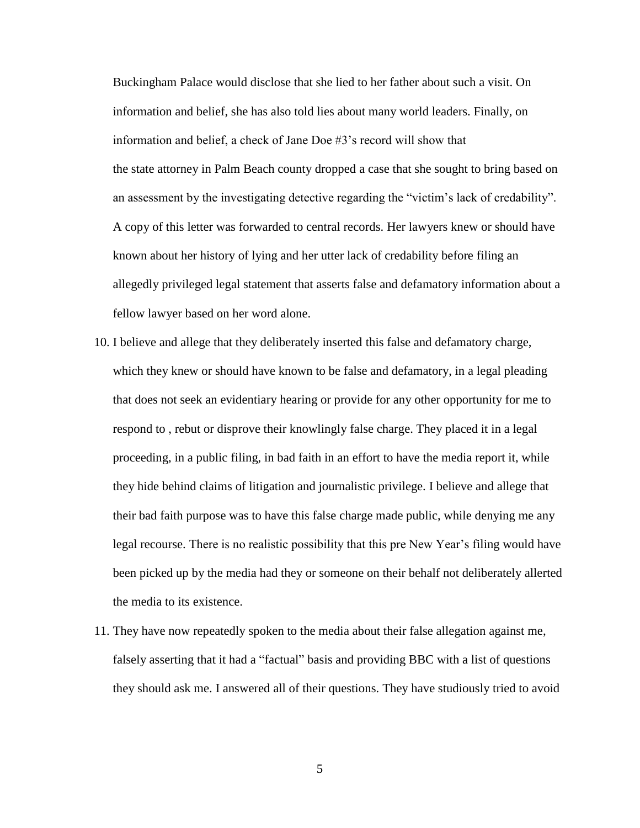Buckingham Palace would disclose that she lied to her father about such a visit. On information and belief, she has also told lies about many world leaders. Finally, on information and belief, a check of Jane Doe #3's record will show that the state attorney in Palm Beach county dropped a case that she sought to bring based on an assessment by the investigating detective regarding the "victim's lack of credability". A copy of this letter was forwarded to central records. Her lawyers knew or should have known about her history of lying and her utter lack of credability before filing an allegedly privileged legal statement that asserts false and defamatory information about a fellow lawyer based on her word alone.

- 10. I believe and allege that they deliberately inserted this false and defamatory charge, which they knew or should have known to be false and defamatory, in a legal pleading that does not seek an evidentiary hearing or provide for any other opportunity for me to respond to , rebut or disprove their knowlingly false charge. They placed it in a legal proceeding, in a public filing, in bad faith in an effort to have the media report it, while they hide behind claims of litigation and journalistic privilege. I believe and allege that their bad faith purpose was to have this false charge made public, while denying me any legal recourse. There is no realistic possibility that this pre New Year's filing would have been picked up by the media had they or someone on their behalf not deliberately allerted the media to its existence.
- 11. They have now repeatedly spoken to the media about their false allegation against me, falsely asserting that it had a "factual" basis and providing BBC with a list of questions they should ask me. I answered all of their questions. They have studiously tried to avoid